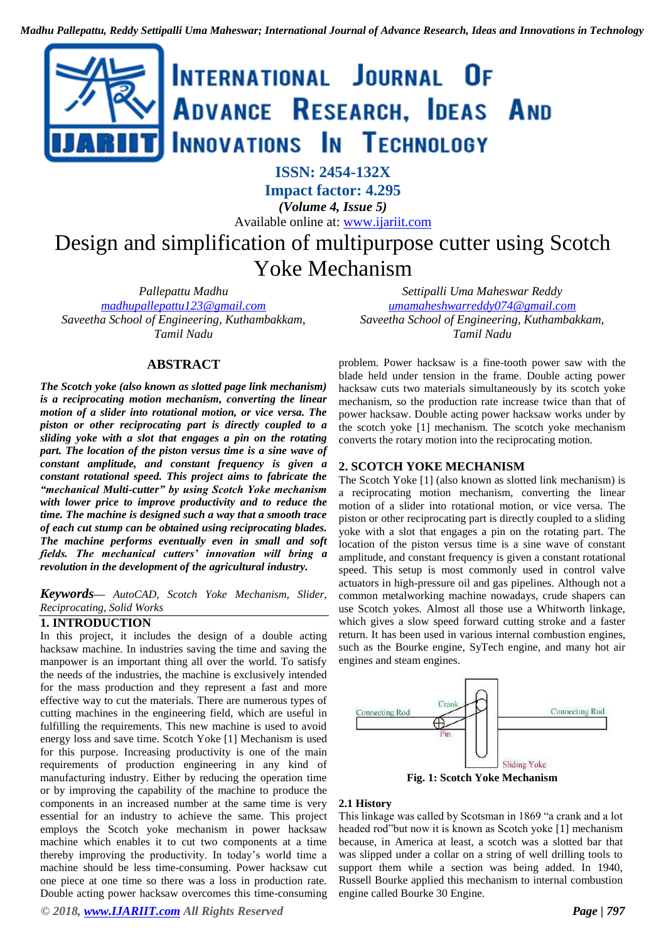

**Impact factor: 4.295**

*(Volume 4, Issue 5)* Available online at: [www.ijariit.com](https://www.ijariit.com/?utm_source=pdf&utm_medium=edition&utm_campaign=OmAkSols&utm_term=V4I5-1460)

# Design and simplification of multipurpose cutter using Scotch Yoke Mechanism

*Pallepattu Madhu [madhupallepattu123@gmail.com](mailto:madhupallepattu123@gmail.com) Saveetha School of Engineering, Kuthambakkam, Tamil Nadu*

*Settipalli Uma Maheswar Reddy [umamaheshwarreddy074@gmail.com](mailto:umamaheshwarreddy074@gmail.com) Saveetha School of Engineering, Kuthambakkam, Tamil Nadu*

#### **ABSTRACT**

*The Scotch yoke (also known as slotted page link mechanism) is a reciprocating motion mechanism, converting the linear motion of a slider into rotational motion, or vice versa. The piston or other reciprocating part is directly coupled to a sliding yoke with a slot that engages a pin on the rotating part. The location of the piston versus time is a sine wave of constant amplitude, and constant frequency is given a constant rotational speed. This project aims to fabricate the "mechanical Multi-cutter" by using Scotch Yoke mechanism with lower price to improve productivity and to reduce the time. The machine is designed such a way that a smooth trace of each cut stump can be obtained using reciprocating blades. The machine performs eventually even in small and soft fields. The mechanical cutters' innovation will bring a revolution in the development of the agricultural industry.*

*Keywords— AutoCAD, Scotch Yoke Mechanism, Slider, Reciprocating, Solid Works*

#### **1. INTRODUCTION**

In this project, it includes the design of a double acting hacksaw machine. In industries saving the time and saving the manpower is an important thing all over the world. To satisfy the needs of the industries, the machine is exclusively intended for the mass production and they represent a fast and more effective way to cut the materials. There are numerous types of cutting machines in the engineering field, which are useful in fulfilling the requirements. This new machine is used to avoid energy loss and save time. Scotch Yoke [1] Mechanism is used for this purpose. Increasing productivity is one of the main requirements of production engineering in any kind of manufacturing industry. Either by reducing the operation time or by improving the capability of the machine to produce the components in an increased number at the same time is very essential for an industry to achieve the same. This project employs the Scotch yoke mechanism in power hacksaw machine which enables it to cut two components at a time thereby improving the productivity. In today's world time a machine should be less time-consuming. Power hacksaw cut one piece at one time so there was a loss in production rate. Double acting power hacksaw overcomes this time-consuming

*© 2018, [www.IJARIIT.com](file:///C:/omak/Downloads/www.IJARIIT.com) All Rights Reserved Page | 797*

problem. Power hacksaw is a fine-tooth power saw with the blade held under tension in the frame. Double acting power hacksaw cuts two materials simultaneously by its scotch yoke mechanism, so the production rate increase twice than that of power hacksaw. Double acting power hacksaw works under by the scotch yoke [1] mechanism. The scotch yoke mechanism converts the rotary motion into the reciprocating motion.

#### **2. SCOTCH YOKE MECHANISM**

The Scotch Yoke [1] (also known as slotted link mechanism) is a reciprocating motion mechanism, converting the linear motion of a slider into rotational motion, or vice versa. The piston or other reciprocating part is directly coupled to a sliding yoke with a slot that engages a pin on the rotating part. The location of the piston versus time is a sine wave of constant amplitude, and constant frequency is given a constant rotational speed. This setup is most commonly used in control valve actuators in high-pressure oil and gas pipelines. Although not a common metalworking machine nowadays, crude shapers can use Scotch yokes. Almost all those use a Whitworth linkage, which gives a slow speed forward cutting stroke and a faster return. It has been used in various internal combustion engines, such as the Bourke engine, SyTech engine, and many hot air engines and steam engines.



**Fig. 1: Scotch Yoke Mechanism**

#### **2.1 History**

This linkage was called by Scotsman in 1869 "a crank and a lot headed rod"but now it is known as Scotch yoke [1] mechanism because, in America at least, a scotch was a slotted bar that was slipped under a collar on a string of well drilling tools to support them while a section was being added. In 1940, Russell Bourke applied this mechanism to internal combustion engine called Bourke 30 Engine.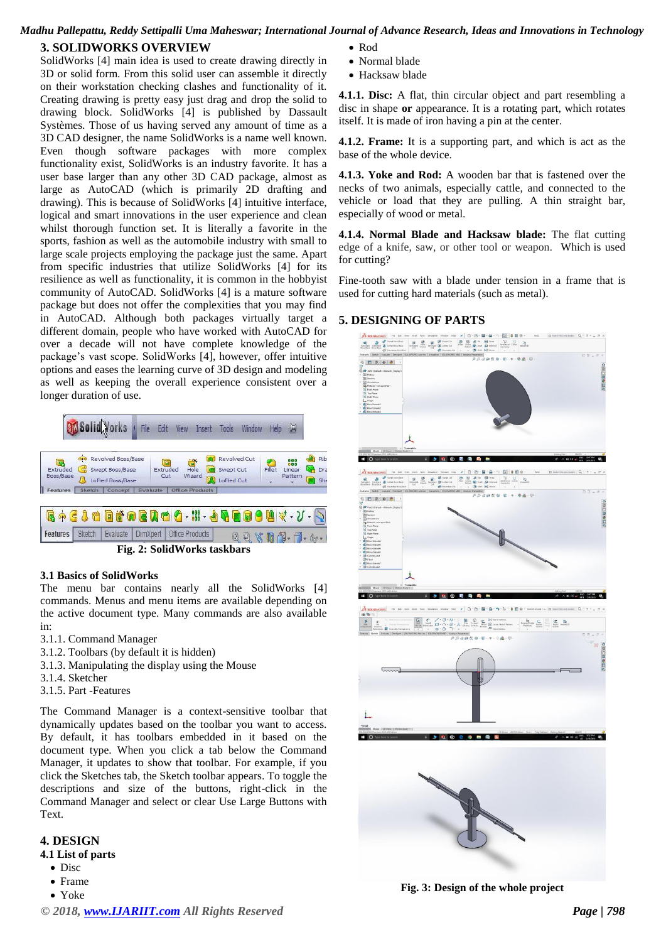# *Madhu Pallepattu, Reddy Settipalli Uma Maheswar; International Journal of Advance Research, Ideas and Innovations in Technology*

### **3. SOLIDWORKS OVERVIEW**

SolidWorks [4] main idea is used to create drawing directly in 3D or solid form. From this solid user can assemble it directly on their workstation checking clashes and functionality of it. Creating drawing is pretty easy just drag and drop the solid to drawing block. SolidWorks [4] is published by [Dassault](https://en.wikipedia.org/wiki/Dassault_Syst%C3%A8mes)  [Systèmes. Those o](https://en.wikipedia.org/wiki/Dassault_Syst%C3%A8mes)f us having served any amount of time as a 3D CAD designer, the name SolidWorks is a name well known. Even though software packages with more complex functionality exist, SolidWorks is an industry favorite. It has a user base larger than any other 3D CAD package, almost as large as [AutoCAD \(](http://www.computeraideddesignguide.com/what-is-autocad-used-for/)which is primarily 2D drafting and drawing). This is because of SolidWorks [4] intuitive interface, logical and smart innovations in the user experience and clean whilst thorough function set. It is literally a favorite in the sports, fashion as well as the automobile industry with small to large scale projects employing the package just the same. Apart from specific industries that utilize SolidWorks [4] for its resilience as well as functionality, it is common in the hobbyist community of AutoCAD. SolidWorks [4] is a mature software package but does not offer the complexities that you may find in AutoCAD. Although both packages virtually target a different domain, people who have worked with AutoCAD for over a decade will not have complete knowledge of the package's vast scope. SolidWorks [4], however, offer intuitive options and eases the learning curve of 3D design and modeling as well as keeping the overall experience consistent over a longer duration of use.



#### **3.1 Basics of SolidWorks**

The menu bar contains nearly all the SolidWorks [4] commands. Menus and menu items are available depending on the active document type. Many commands are also available in:

- 3.1.1. Command Manager
- 3.1.2. Toolbars (by default it is hidden)
- 3.1.3. Manipulating the display using the Mouse
- 3.1.4. Sketcher
- 3.1.5. Part -Features

The Command Manager is a context-sensitive toolbar that dynamically updates based on the toolbar you want to access. By default, it has toolbars embedded in it based on the document type. When you click a tab below the Command Manager, it updates to show that toolbar. For example, if you click the Sketches tab, the Sketch toolbar appears. To toggle the descriptions and size of the buttons, right-click in the Command Manager and select or clear Use Large Buttons with Text.

# **4. DESIGN**

## **4.1 List of parts**

- Disc
- Frame
- Yoke
- $\bullet$  Rod
- Normal blade
- Hacksaw blade

**4.1.1. Disc:** A flat, thin circular object and part resembling a disc in shape **or** appearance. It is a rotating part, which rotates itself. It is made of iron having a pin at the center.

**4.1.2. Frame:** It is a supporting part, and which is act as the base of the whole device.

**4.1.3. Yoke and Rod:** A [wooden bar t](https://dictionary.cambridge.org/dictionary/english/wooden)hat is [fastened o](https://dictionary.cambridge.org/dictionary/english/fasten)ver the [necks o](https://dictionary.cambridge.org/dictionary/english/neck)f two animals, especially [cattle,](https://dictionary.cambridge.org/dictionary/english/cattle) and [connected t](https://dictionary.cambridge.org/dictionary/english/connected)o the [vehicle o](https://dictionary.cambridge.org/dictionary/english/vehicle)r [load t](https://dictionary.cambridge.org/dictionary/english/load)hat they are pulling. A thin straight bar, especially of wood or metal.

**4.1.4. Normal Blade and Hacksaw blade:** The flat cutting edge of a knife, saw, or other tool or weapon. Which is used for cutting?

Fine-tooth saw with a blade under tension in a frame that is used for cutting hard materials (such as metal).

### **5. DESIGNING OF PARTS**



**Fig. 3: Design of the whole project**